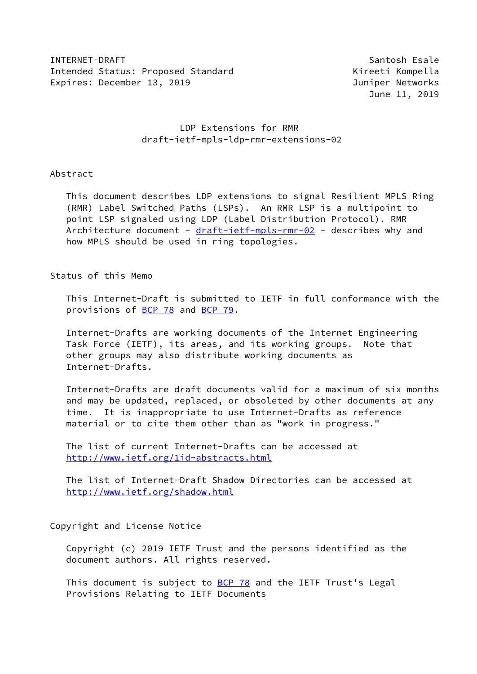INTERNET-DRAFT Santosh Esale Intended Status: Proposed Standard Microsoft Christian Kireeti Kompella Expires: December 13, 2019 Juniper Networks

June 11, 2019

# LDP Extensions for RMR draft-ietf-mpls-ldp-rmr-extensions-02

## Abstract

 This document describes LDP extensions to signal Resilient MPLS Ring (RMR) Label Switched Paths (LSPs). An RMR LSP is a multipoint to point LSP signaled using LDP (Label Distribution Protocol). RMR Architecture document - [draft-ietf-mpls-rmr-02](https://datatracker.ietf.org/doc/pdf/draft-ietf-mpls-rmr-02) - describes why and how MPLS should be used in ring topologies.

# Status of this Memo

 This Internet-Draft is submitted to IETF in full conformance with the provisions of [BCP 78](https://datatracker.ietf.org/doc/pdf/bcp78) and [BCP 79](https://datatracker.ietf.org/doc/pdf/bcp79).

 Internet-Drafts are working documents of the Internet Engineering Task Force (IETF), its areas, and its working groups. Note that other groups may also distribute working documents as Internet-Drafts.

 Internet-Drafts are draft documents valid for a maximum of six months and may be updated, replaced, or obsoleted by other documents at any time. It is inappropriate to use Internet-Drafts as reference material or to cite them other than as "work in progress."

 The list of current Internet-Drafts can be accessed at <http://www.ietf.org/1id-abstracts.html>

 The list of Internet-Draft Shadow Directories can be accessed at <http://www.ietf.org/shadow.html>

Copyright and License Notice

 Copyright (c) 2019 IETF Trust and the persons identified as the document authors. All rights reserved.

This document is subject to **[BCP 78](https://datatracker.ietf.org/doc/pdf/bcp78)** and the IETF Trust's Legal Provisions Relating to IETF Documents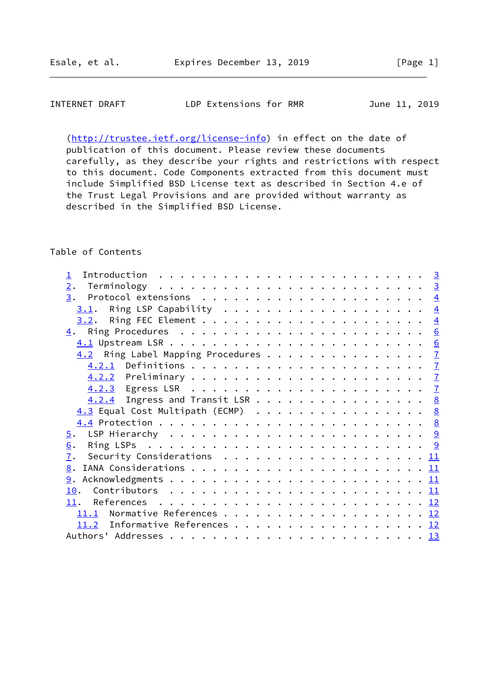# INTERNET DRAFT LDP Extensions for RMR June 11, 2019

 [\(http://trustee.ietf.org/license-info](http://trustee.ietf.org/license-info)) in effect on the date of publication of this document. Please review these documents carefully, as they describe your rights and restrictions with respect to this document. Code Components extracted from this document must include Simplified BSD License text as described in Section 4.e of the Trust Legal Provisions and are provided without warranty as described in the Simplified BSD License.

#### Table of Contents

| Introduction $\ldots \ldots \ldots \ldots \ldots \ldots \ldots \ldots \ldots \quad \underline{3}$ |  |
|---------------------------------------------------------------------------------------------------|--|
| 2.                                                                                                |  |
|                                                                                                   |  |
| Ring LSP Capability $\ldots \ldots \ldots \ldots \ldots \ldots \frac{4}{2}$<br>3.1.               |  |
|                                                                                                   |  |
|                                                                                                   |  |
|                                                                                                   |  |
| 4.2 Ring Label Mapping Procedures 7                                                               |  |
|                                                                                                   |  |
|                                                                                                   |  |
|                                                                                                   |  |
| 4.2.4 Ingress and Transit LSR 8                                                                   |  |
| 4.3 Equal Cost Multipath (ECMP) 8                                                                 |  |
|                                                                                                   |  |
|                                                                                                   |  |
| 6.                                                                                                |  |
| 7.<br>Security Considerations $\ldots \ldots \ldots \ldots \ldots \ldots \ldots \underline{11}$   |  |
|                                                                                                   |  |
|                                                                                                   |  |
|                                                                                                   |  |
|                                                                                                   |  |
| 11.1 Normative References 12                                                                      |  |
| 11.2 Informative References 12                                                                    |  |
|                                                                                                   |  |
|                                                                                                   |  |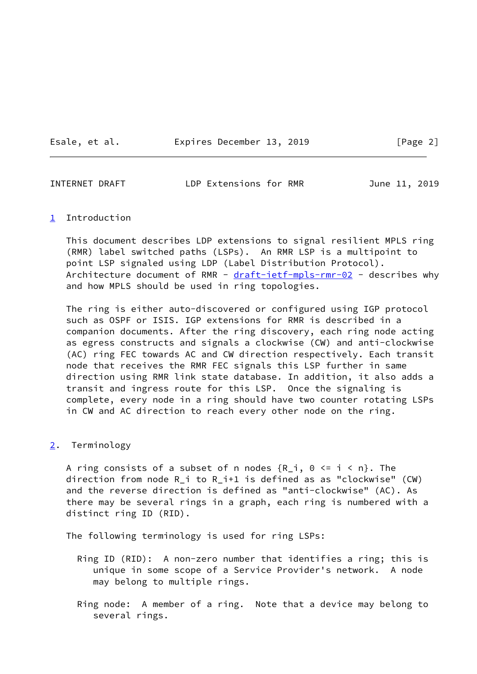Esale, et al. Expires December 13, 2019 [Page 2]

<span id="page-2-1"></span>INTERNET DRAFT LDP Extensions for RMR June 11, 2019

#### <span id="page-2-0"></span>[1](#page-2-0) Introduction

 This document describes LDP extensions to signal resilient MPLS ring (RMR) label switched paths (LSPs). An RMR LSP is a multipoint to point LSP signaled using LDP (Label Distribution Protocol). Architecture document of RMR - [draft-ietf-mpls-rmr-02](https://datatracker.ietf.org/doc/pdf/draft-ietf-mpls-rmr-02) - describes why and how MPLS should be used in ring topologies.

 The ring is either auto-discovered or configured using IGP protocol such as OSPF or ISIS. IGP extensions for RMR is described in a companion documents. After the ring discovery, each ring node acting as egress constructs and signals a clockwise (CW) and anti-clockwise (AC) ring FEC towards AC and CW direction respectively. Each transit node that receives the RMR FEC signals this LSP further in same direction using RMR link state database. In addition, it also adds a transit and ingress route for this LSP. Once the signaling is complete, every node in a ring should have two counter rotating LSPs in CW and AC direction to reach every other node on the ring.

## <span id="page-2-2"></span>[2](#page-2-2). Terminology

A ring consists of a subset of n nodes  ${R_i, 0 \leq i \leq n}$ . The direction from node R\_i to R\_i+1 is defined as as "clockwise" (CW) and the reverse direction is defined as "anti-clockwise" (AC). As there may be several rings in a graph, each ring is numbered with a distinct ring ID (RID).

The following terminology is used for ring LSPs:

- Ring ID (RID): A non-zero number that identifies a ring; this is unique in some scope of a Service Provider's network. A node may belong to multiple rings.
- Ring node: A member of a ring. Note that a device may belong to several rings.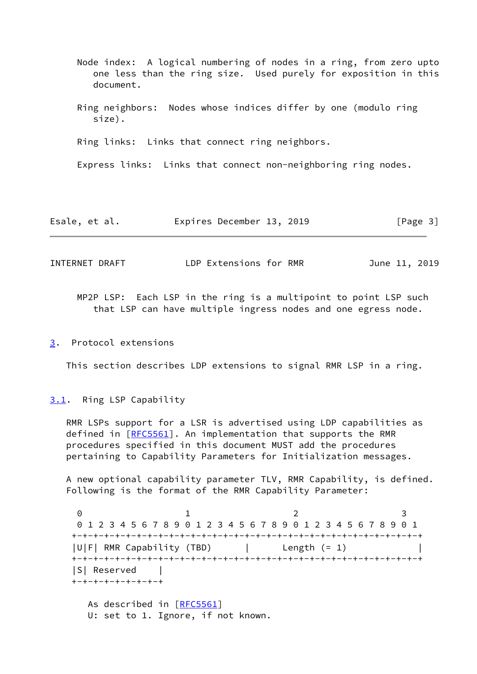- Node index: A logical numbering of nodes in a ring, from zero upto one less than the ring size. Used purely for exposition in this document.
- Ring neighbors: Nodes whose indices differ by one (modulo ring size).

Ring links: Links that connect ring neighbors.

Express links: Links that connect non-neighboring ring nodes.

| Esale, et al. | Expires December 13, 2019 |  | [Page 3] |
|---------------|---------------------------|--|----------|
|---------------|---------------------------|--|----------|

<span id="page-3-1"></span>INTERNET DRAFT LDP Extensions for RMR June 11, 2019

 MP2P LSP: Each LSP in the ring is a multipoint to point LSP such that LSP can have multiple ingress nodes and one egress node.

#### <span id="page-3-0"></span>[3](#page-3-0). Protocol extensions

This section describes LDP extensions to signal RMR LSP in a ring.

#### <span id="page-3-2"></span>[3.1](#page-3-2). Ring LSP Capability

 RMR LSPs support for a LSR is advertised using LDP capabilities as defined in  $[REC5561]$ . An implementation that supports the RMR procedures specified in this document MUST add the procedures pertaining to Capability Parameters for Initialization messages.

 A new optional capability parameter TLV, RMR Capability, is defined. Following is the format of the RMR Capability Parameter:

0 1 2 3 0 1 2 3 4 5 6 7 8 9 0 1 2 3 4 5 6 7 8 9 0 1 2 3 4 5 6 7 8 9 0 1 +-+-+-+-+-+-+-+-+-+-+-+-+-+-+-+-+-+-+-+-+-+-+-+-+-+-+-+-+-+-+-+-+ |U|F| RMR Capability (TBD) | Length (= 1) +-+-+-+-+-+-+-+-+-+-+-+-+-+-+-+-+-+-+-+-+-+-+-+-+-+-+-+-+-+-+-+-+ |S| Reserved | +-+-+-+-+-+-+-+-+ As described in [\[RFC5561](https://datatracker.ietf.org/doc/pdf/rfc5561)] U: set to 1. Ignore, if not known.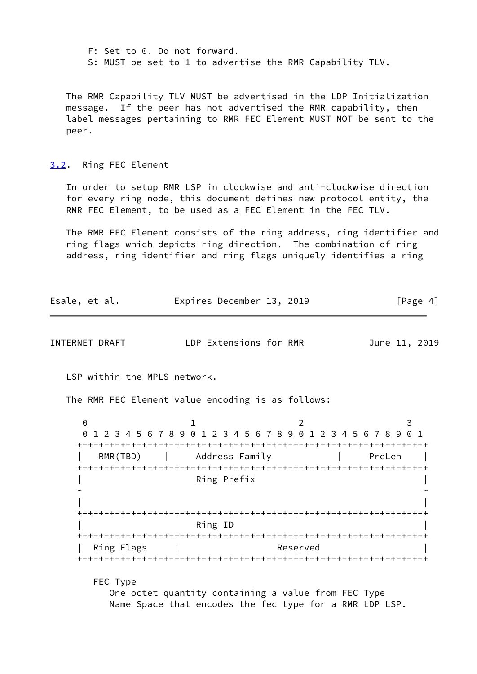F: Set to 0. Do not forward. S: MUST be set to 1 to advertise the RMR Capability TLV.

 The RMR Capability TLV MUST be advertised in the LDP Initialization message. If the peer has not advertised the RMR capability, then label messages pertaining to RMR FEC Element MUST NOT be sent to the peer.

<span id="page-4-0"></span>[3.2](#page-4-0). Ring FEC Element

 In order to setup RMR LSP in clockwise and anti-clockwise direction for every ring node, this document defines new protocol entity, the RMR FEC Element, to be used as a FEC Element in the FEC TLV.

 The RMR FEC Element consists of the ring address, ring identifier and ring flags which depicts ring direction. The combination of ring address, ring identifier and ring flags uniquely identifies a ring

| Expires December 13, 2019<br>Esale, et al. | [Page 4] |
|--------------------------------------------|----------|
|--------------------------------------------|----------|

INTERNET DRAFT LDP Extensions for RMR June 11, 2019

LSP within the MPLS network.

The RMR FEC Element value encoding is as follows:

0 1 2 3 0 1 2 3 4 5 6 7 8 9 0 1 2 3 4 5 6 7 8 9 0 1 2 3 4 5 6 7 8 9 0 1 +-+-+-+-+-+-+-+-+-+-+-+-+-+-+-+-+-+-+-+-+-+-+-+-+-+-+-+-+-+-+-+-+ | RMR(TBD) | Address Family | PreLen | +-+-+-+-+-+-+-+-+-+-+-+-+-+-+-+-+-+-+-+-+-+-+-+-+-+-+-+-+-+-+-+-+ | Ring Prefix | ~ ~ | | +-+-+-+-+-+-+-+-+-+-+-+-+-+-+-+-+-+-+-+-+-+-+-+-+-+-+-+-+-+-+-+-+ | Ring ID | +-+-+-+-+-+-+-+-+-+-+-+-+-+-+-+-+-+-+-+-+-+-+-+-+-+-+-+-+-+-+-+-+ | Ring Flags | Reserved +-+-+-+-+-+-+-+-+-+-+-+-+-+-+-+-+-+-+-+-+-+-+-+-+-+-+-+-+-+-+-+-+

FEC Type

 One octet quantity containing a value from FEC Type Name Space that encodes the fec type for a RMR LDP LSP.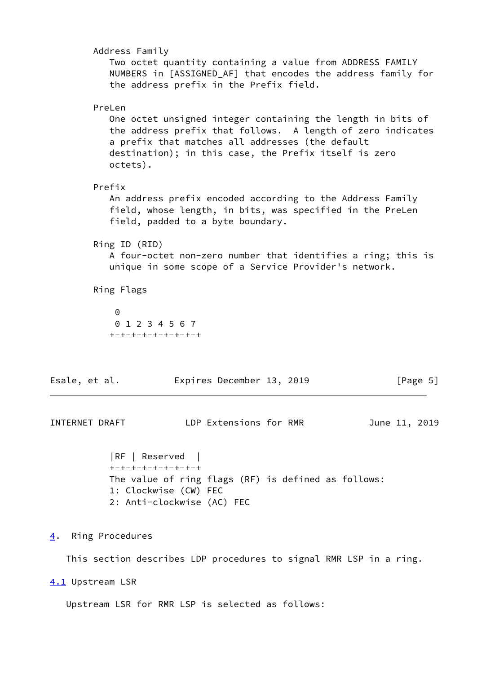| Address Family<br>Two octet quantity containing a value from ADDRESS FAMILY<br>NUMBERS in [ASSIGNED_AF] that encodes the address family for<br>the address prefix in the Prefix field.                                                                        |
|---------------------------------------------------------------------------------------------------------------------------------------------------------------------------------------------------------------------------------------------------------------|
| PreLen<br>One octet unsigned integer containing the length in bits of<br>the address prefix that follows. A length of zero indicates<br>a prefix that matches all addresses (the default<br>destination); in this case, the Prefix itself is zero<br>octets). |
| Prefix<br>An address prefix encoded according to the Address Family<br>field, whose length, in bits, was specified in the PreLen<br>field, padded to a byte boundary.                                                                                         |
| Ring ID (RID)<br>A four-octet non-zero number that identifies a ring; this is<br>unique in some scope of a Service Provider's network.                                                                                                                        |
| Ring Flags                                                                                                                                                                                                                                                    |
| $\Theta$<br>0 1 2 3 4 5 6 7<br>+-+-+-+-+-+-+-+-+                                                                                                                                                                                                              |
| Expires December 13, 2019<br>Esale, et al.<br>[Page 5]                                                                                                                                                                                                        |
| LDP Extensions for RMR<br>INTERNET DRAFT<br>June 11, 2019                                                                                                                                                                                                     |
| RF   Reserved  <br>+-+-+-+-+-+-+-+-+<br>The value of ring flags (RF) is defined as follows:<br>1: Clockwise (CW) FEC<br>2: Anti-clockwise (AC) FEC                                                                                                            |
| Ring Procedures<br><u>4</u> .                                                                                                                                                                                                                                 |

<span id="page-5-1"></span><span id="page-5-0"></span>This section describes LDP procedures to signal RMR LSP in a ring.

<span id="page-5-2"></span>[4.1](#page-5-2) Upstream LSR

Upstream LSR for RMR LSP is selected as follows: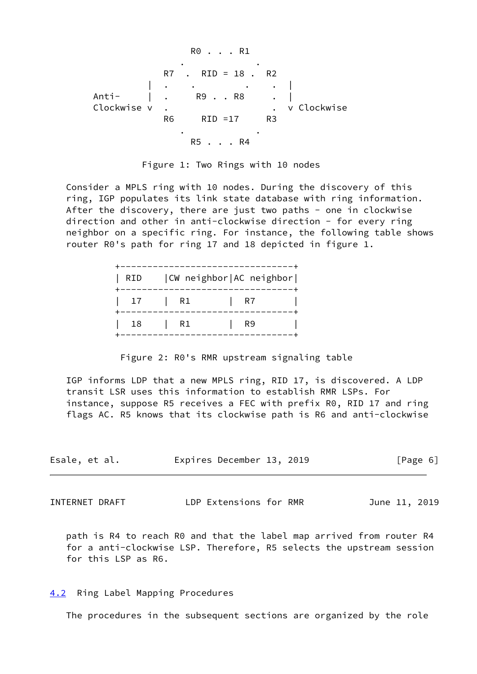R0 . . . R1 . . R7 . RID = 18 . R2 | . . . . | Anti- | . R9 . . R8 . | Clockwise v . . v Clockwise R6 RID =17 R3 . . R5 . . . R4



 Consider a MPLS ring with 10 nodes. During the discovery of this ring, IGP populates its link state database with ring information. After the discovery, there are just two paths - one in clockwise direction and other in anti-clockwise direction - for every ring neighbor on a specific ring. For instance, the following table shows router R0's path for ring 17 and 18 depicted in figure 1.

| RID |    | CW neighbor   AC neighbor |  |
|-----|----|---------------------------|--|
| 17  | R1 | -R7                       |  |
| 18  | R1 | R9                        |  |

Figure 2: R0's RMR upstream signaling table

 IGP informs LDP that a new MPLS ring, RID 17, is discovered. A LDP transit LSR uses this information to establish RMR LSPs. For instance, suppose R5 receives a FEC with prefix R0, RID 17 and ring flags AC. R5 knows that its clockwise path is R6 and anti-clockwise

| Esale, et al. | Expires December 13, 2019 | [Page 6] |
|---------------|---------------------------|----------|
|               |                           |          |

<span id="page-6-1"></span>INTERNET DRAFT LDP Extensions for RMR June 11, 2019

 path is R4 to reach R0 and that the label map arrived from router R4 for a anti-clockwise LSP. Therefore, R5 selects the upstream session for this LSP as R6.

## <span id="page-6-0"></span>[4.2](#page-6-0) Ring Label Mapping Procedures

The procedures in the subsequent sections are organized by the role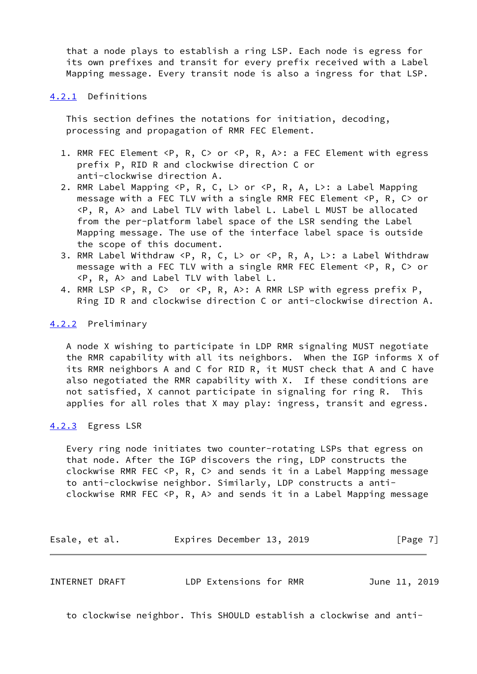that a node plays to establish a ring LSP. Each node is egress for its own prefixes and transit for every prefix received with a Label Mapping message. Every transit node is also a ingress for that LSP.

#### <span id="page-7-0"></span>[4.2.1](#page-7-0) Definitions

 This section defines the notations for initiation, decoding, processing and propagation of RMR FEC Element.

- 1. RMR FEC Element <P, R, C> or <P, R, A>: a FEC Element with egress prefix P, RID R and clockwise direction C or anti-clockwise direction A.
- 2. RMR Label Mapping <P, R, C, L> or <P, R, A, L>: a Label Mapping message with a FEC TLV with a single RMR FEC Element <P, R, C> or <P, R, A> and Label TLV with label L. Label L MUST be allocated from the per-platform label space of the LSR sending the Label Mapping message. The use of the interface label space is outside the scope of this document.
- 3. RMR Label Withdraw <P, R, C, L> or <P, R, A, L>: a Label Withdraw message with a FEC TLV with a single RMR FEC Element <P, R, C> or <P, R, A> and Label TLV with label L.
- 4. RMR LSP <P, R, C> or <P, R, A>: A RMR LSP with egress prefix P, Ring ID R and clockwise direction C or anti-clockwise direction A.

## <span id="page-7-1"></span>[4.2.2](#page-7-1) Preliminary

 A node X wishing to participate in LDP RMR signaling MUST negotiate the RMR capability with all its neighbors. When the IGP informs X of its RMR neighbors A and C for RID R, it MUST check that A and C have also negotiated the RMR capability with X. If these conditions are not satisfied, X cannot participate in signaling for ring R. This applies for all roles that X may play: ingress, transit and egress.

## <span id="page-7-2"></span>[4.2.3](#page-7-2) Egress LSR

 Every ring node initiates two counter-rotating LSPs that egress on that node. After the IGP discovers the ring, LDP constructs the clockwise RMR FEC <P, R, C> and sends it in a Label Mapping message to anti-clockwise neighbor. Similarly, LDP constructs a anti clockwise RMR FEC <P, R, A> and sends it in a Label Mapping message

Esale, et al. 
Expires December 13, 2019

Esale, et al.

<span id="page-7-3"></span>INTERNET DRAFT LDP Extensions for RMR June 11, 2019

to clockwise neighbor. This SHOULD establish a clockwise and anti-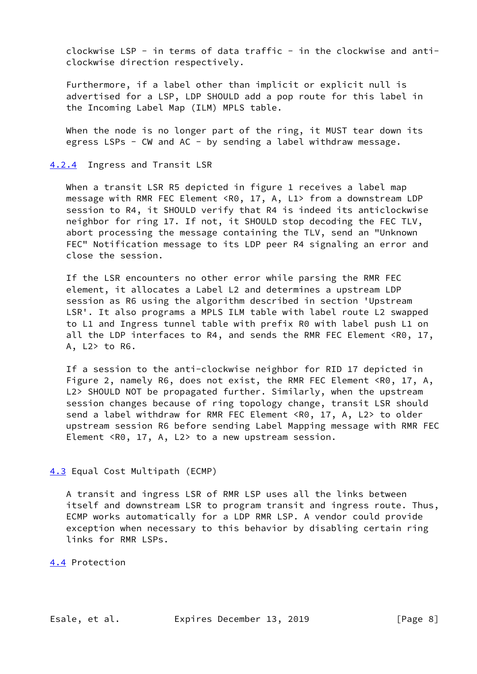clockwise LSP - in terms of data traffic - in the clockwise and anticlockwise direction respectively.

 Furthermore, if a label other than implicit or explicit null is advertised for a LSP, LDP SHOULD add a pop route for this label in the Incoming Label Map (ILM) MPLS table.

 When the node is no longer part of the ring, it MUST tear down its egress LSPs - CW and AC - by sending a label withdraw message.

#### <span id="page-8-0"></span>[4.2.4](#page-8-0) Ingress and Transit LSR

When a transit LSR R5 depicted in figure 1 receives a label map message with RMR FEC Element <R0, 17, A, L1> from a downstream LDP session to R4, it SHOULD verify that R4 is indeed its anticlockwise neighbor for ring 17. If not, it SHOULD stop decoding the FEC TLV, abort processing the message containing the TLV, send an "Unknown FEC" Notification message to its LDP peer R4 signaling an error and close the session.

 If the LSR encounters no other error while parsing the RMR FEC element, it allocates a Label L2 and determines a upstream LDP session as R6 using the algorithm described in section 'Upstream LSR'. It also programs a MPLS ILM table with label route L2 swapped to L1 and Ingress tunnel table with prefix R0 with label push L1 on all the LDP interfaces to R4, and sends the RMR FEC Element <R0, 17, A, L2> to R6.

 If a session to the anti-clockwise neighbor for RID 17 depicted in Figure 2, namely R6, does not exist, the RMR FEC Element <R0, 17, A, L2> SHOULD NOT be propagated further. Similarly, when the upstream session changes because of ring topology change, transit LSR should send a label withdraw for RMR FEC Element <R0, 17, A, L2> to older upstream session R6 before sending Label Mapping message with RMR FEC Element <R0, 17, A, L2> to a new upstream session.

## <span id="page-8-1"></span>[4.3](#page-8-1) Equal Cost Multipath (ECMP)

 A transit and ingress LSR of RMR LSP uses all the links between itself and downstream LSR to program transit and ingress route. Thus, ECMP works automatically for a LDP RMR LSP. A vendor could provide exception when necessary to this behavior by disabling certain ring links for RMR LSPs.

<span id="page-8-2"></span>[4.4](#page-8-2) Protection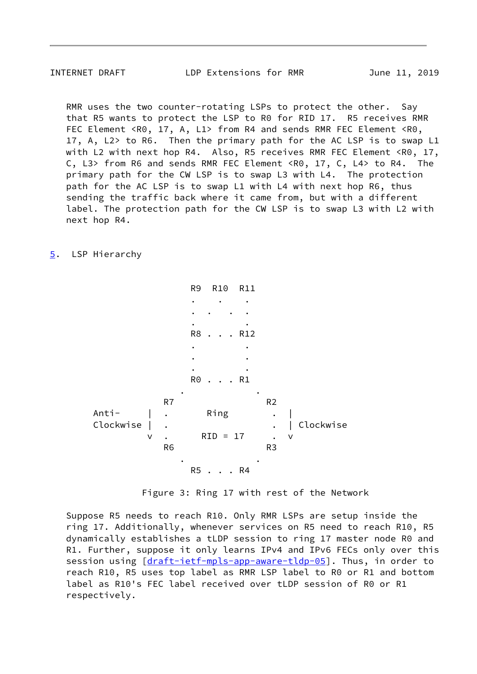<span id="page-9-1"></span>INTERNET DRAFT LDP Extensions for RMR June 11, 2019

 RMR uses the two counter-rotating LSPs to protect the other. Say that R5 wants to protect the LSP to R0 for RID 17. R5 receives RMR FEC Element <R0, 17, A, L1> from R4 and sends RMR FEC Element <R0, 17, A, L2> to R6. Then the primary path for the AC LSP is to swap L1 with L2 with next hop R4. Also, R5 receives RMR FEC Element <R0, 17, C, L3> from R6 and sends RMR FEC Element <R0, 17, C, L4> to R4. The primary path for the CW LSP is to swap L3 with L4. The protection path for the AC LSP is to swap L1 with L4 with next hop R6, thus sending the traffic back where it came from, but with a different label. The protection path for the CW LSP is to swap L3 with L2 with next hop R4.

## <span id="page-9-0"></span>[5](#page-9-0). LSP Hierarchy

 R9 R10 R11 . . . . . . . . . R8 . . . R12 . . . . . . R0 . . . R1 . . R<sub>7</sub> R<sub>7</sub> R<sub>2</sub> Anti- | . Ring . | Clockwise | . . . . . . . . . . . . Clockwise v . RID = 17 . v R6 R3 . . R5 . . . R4

Figure 3: Ring 17 with rest of the Network

 Suppose R5 needs to reach R10. Only RMR LSPs are setup inside the ring 17. Additionally, whenever services on R5 need to reach R10, R5 dynamically establishes a tLDP session to ring 17 master node R0 and R1. Further, suppose it only learns IPv4 and IPv6 FECs only over this session using [[draft-ietf-mpls-app-aware-tldp-05\]](https://datatracker.ietf.org/doc/pdf/draft-ietf-mpls-app-aware-tldp-05). Thus, in order to reach R10, R5 uses top label as RMR LSP label to R0 or R1 and bottom label as R10's FEC label received over tLDP session of R0 or R1 respectively.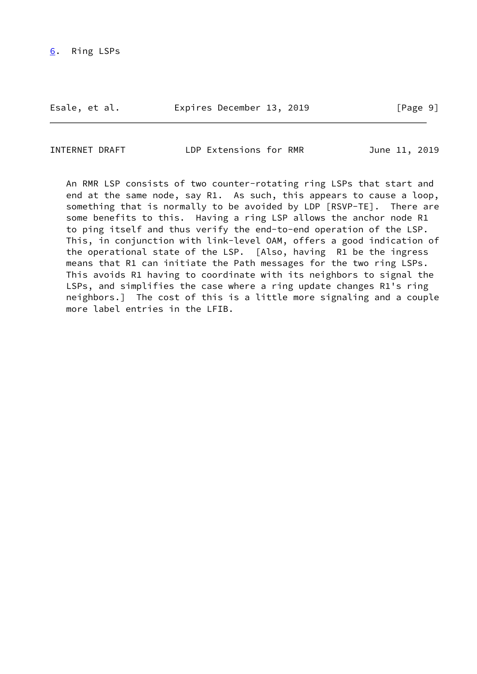<span id="page-10-0"></span>Esale, et al. 
Expires December 13, 2019
[Page 9]

INTERNET DRAFT LDP Extensions for RMR June 11, 2019

 An RMR LSP consists of two counter-rotating ring LSPs that start and end at the same node, say R1. As such, this appears to cause a loop, something that is normally to be avoided by LDP [RSVP-TE]. There are some benefits to this. Having a ring LSP allows the anchor node R1 to ping itself and thus verify the end-to-end operation of the LSP. This, in conjunction with link-level OAM, offers a good indication of the operational state of the LSP. [Also, having R1 be the ingress means that R1 can initiate the Path messages for the two ring LSPs. This avoids R1 having to coordinate with its neighbors to signal the LSPs, and simplifies the case where a ring update changes R1's ring neighbors.] The cost of this is a little more signaling and a couple more label entries in the LFIB.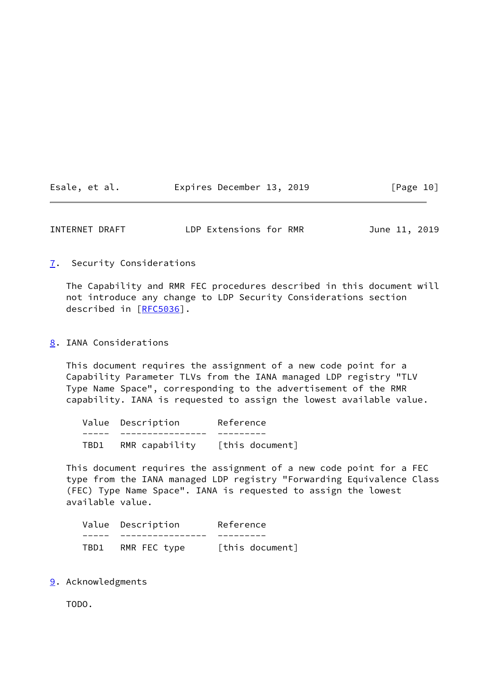| Esale, et al. |  | Expires December 13, 2019 |  | [Page 10] |  |
|---------------|--|---------------------------|--|-----------|--|
|---------------|--|---------------------------|--|-----------|--|

<span id="page-11-1"></span>

| INTERNET DRAFT | LDP Extensions for RMR | June 11, 2019 |
|----------------|------------------------|---------------|
|----------------|------------------------|---------------|

## <span id="page-11-0"></span>[7](#page-11-0). Security Considerations

 The Capability and RMR FEC procedures described in this document will not introduce any change to LDP Security Considerations section described in [\[RFC5036](https://datatracker.ietf.org/doc/pdf/rfc5036)].

## <span id="page-11-2"></span>[8](#page-11-2). IANA Considerations

 This document requires the assignment of a new code point for a Capability Parameter TLVs from the IANA managed LDP registry "TLV Type Name Space", corresponding to the advertisement of the RMR capability. IANA is requested to assign the lowest available value.

|      | Value Description | Reference       |
|------|-------------------|-----------------|
|      |                   |                 |
| TBD1 | RMR capability    | [this document] |

 This document requires the assignment of a new code point for a FEC type from the IANA managed LDP registry "Forwarding Equivalence Class (FEC) Type Name Space". IANA is requested to assign the lowest available value.

|      | Value Description | Reference       |
|------|-------------------|-----------------|
|      |                   |                 |
| TBD1 | RMR FEC type      | [this document] |

# <span id="page-11-3"></span>[9](#page-11-3). Acknowledgments

TODO.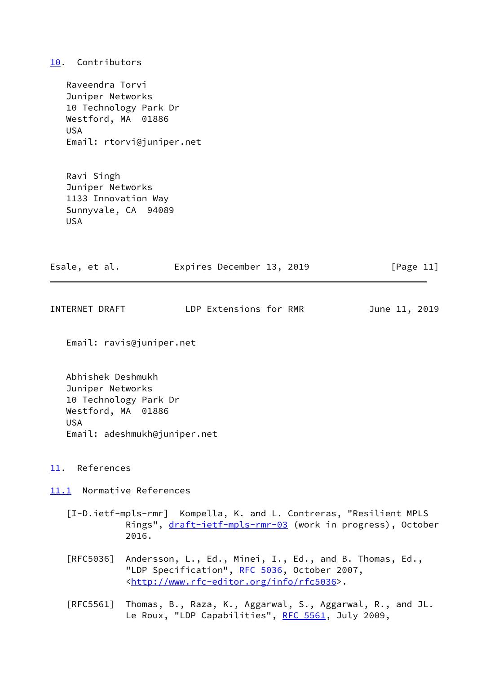## <span id="page-12-0"></span>[10.](#page-12-0) Contributors

 Raveendra Torvi Juniper Networks 10 Technology Park Dr Westford, MA 01886 USA Email: rtorvi@juniper.net

 Ravi Singh Juniper Networks 1133 Innovation Way Sunnyvale, CA 94089 USA

| Esale, et al. | Expires December 13, 2019 |  | [Page 11] |  |
|---------------|---------------------------|--|-----------|--|
|               |                           |  |           |  |

<span id="page-12-2"></span>

LDP Extensions for RMR June 11, 2019

Email: ravis@juniper.net

 Abhishek Deshmukh Juniper Networks 10 Technology Park Dr Westford, MA 01886 USA Email: adeshmukh@juniper.net

- <span id="page-12-1"></span>[11.](#page-12-1) References
- <span id="page-12-3"></span>[11.1](#page-12-3) Normative References
	- [I-D.ietf-mpls-rmr] Kompella, K. and L. Contreras, "Resilient MPLS Rings", [draft-ietf-mpls-rmr-03](https://datatracker.ietf.org/doc/pdf/draft-ietf-mpls-rmr-03) (work in progress), October 2016.
	- [RFC5036] Andersson, L., Ed., Minei, I., Ed., and B. Thomas, Ed., "LDP Specification", [RFC 5036](https://datatracker.ietf.org/doc/pdf/rfc5036), October 2007, <<http://www.rfc-editor.org/info/rfc5036>>.
	- [RFC5561] Thomas, B., Raza, K., Aggarwal, S., Aggarwal, R., and JL. Le Roux, "LDP Capabilities", [RFC 5561](https://datatracker.ietf.org/doc/pdf/rfc5561), July 2009,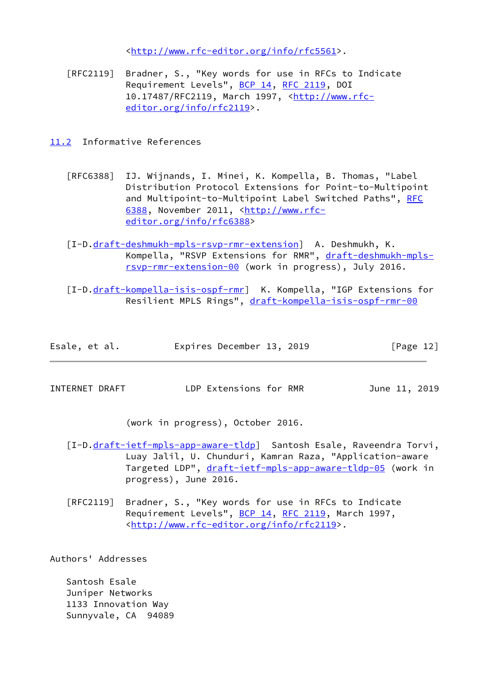<<http://www.rfc-editor.org/info/rfc5561>>.

 [RFC2119] Bradner, S., "Key words for use in RFCs to Indicate Requirement Levels", [BCP 14](https://datatracker.ietf.org/doc/pdf/bcp14), [RFC 2119](https://datatracker.ietf.org/doc/pdf/rfc2119), DOI 10.17487/RFC2119, March 1997, [<http://www.rfc](http://www.rfc-editor.org/info/rfc2119) [editor.org/info/rfc2119](http://www.rfc-editor.org/info/rfc2119)>.

<span id="page-13-0"></span>[11.2](#page-13-0) Informative References

- [RFC6388] IJ. Wijnands, I. Minei, K. Kompella, B. Thomas, "Label Distribution Protocol Extensions for Point-to-Multipoint and Multipoint-to-Multipoint Label Switched Paths", [RFC](https://datatracker.ietf.org/doc/pdf/rfc6388) [6388,](https://datatracker.ietf.org/doc/pdf/rfc6388) November 2011, [<http://www.rfc](http://www.rfc-editor.org/info/rfc6388) [editor.org/info/rfc6388](http://www.rfc-editor.org/info/rfc6388)>
- [I-D[.draft-deshmukh-mpls-rsvp-rmr-extension](https://datatracker.ietf.org/doc/pdf/draft-deshmukh-mpls-rsvp-rmr-extension)] A. Deshmukh, K. Kompella, "RSVP Extensions for RMR", [draft-deshmukh-mpls](https://datatracker.ietf.org/doc/pdf/draft-deshmukh-mpls-rsvp-rmr-extension-00) [rsvp-rmr-extension-00](https://datatracker.ietf.org/doc/pdf/draft-deshmukh-mpls-rsvp-rmr-extension-00) (work in progress), July 2016.
- [I-D[.draft-kompella-isis-ospf-rmr](https://datatracker.ietf.org/doc/pdf/draft-kompella-isis-ospf-rmr)] K. Kompella, "IGP Extensions for Resilient MPLS Rings", [draft-kompella-isis-ospf-rmr-00](https://datatracker.ietf.org/doc/pdf/draft-kompella-isis-ospf-rmr-00)

| Esale, et al. |  | Expires December 13, 2019 |  |  | [Page 12] |  |
|---------------|--|---------------------------|--|--|-----------|--|
|---------------|--|---------------------------|--|--|-----------|--|

<span id="page-13-1"></span>INTERNET DRAFT LDP Extensions for RMR June 11, 2019

(work in progress), October 2016.

- [I-D[.draft-ietf-mpls-app-aware-tldp](https://datatracker.ietf.org/doc/pdf/draft-ietf-mpls-app-aware-tldp)] Santosh Esale, Raveendra Torvi, Luay Jalil, U. Chunduri, Kamran Raza, "Application-aware Targeted LDP", [draft-ietf-mpls-app-aware-tldp-05](https://datatracker.ietf.org/doc/pdf/draft-ietf-mpls-app-aware-tldp-05) (work in progress), June 2016.
- [RFC2119] Bradner, S., "Key words for use in RFCs to Indicate Requirement Levels", [BCP 14](https://datatracker.ietf.org/doc/pdf/bcp14), [RFC 2119](https://datatracker.ietf.org/doc/pdf/rfc2119), March 1997, <<http://www.rfc-editor.org/info/rfc2119>>.

Authors' Addresses

 Santosh Esale Juniper Networks 1133 Innovation Way Sunnyvale, CA 94089